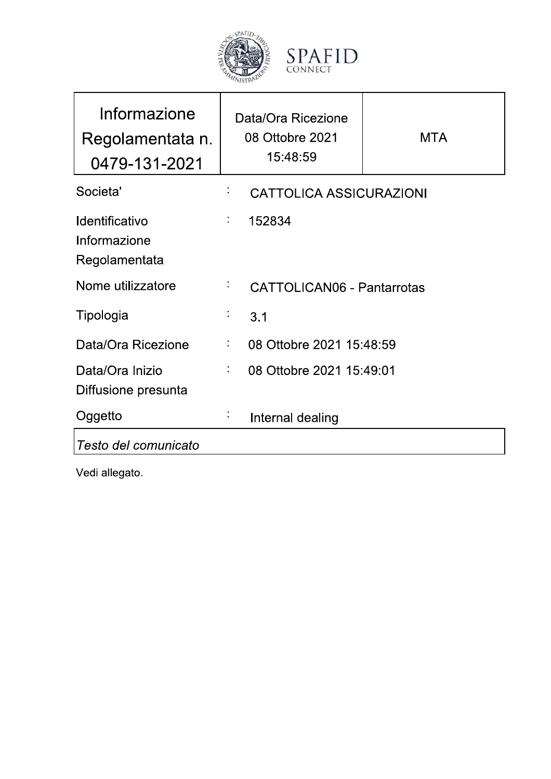

| CONNECT                                           |   |
|---------------------------------------------------|---|
| Data/Ora Ricezione<br>08 Ottobre 2021<br>15:48:59 | M |
| <b>CATTOLICA ASSICURAZIONI</b>                    |   |

| Regolamentata n.<br>0479-131-2021                      |            | 08 Ottobre 2021<br>15:48:59       | <b>MTA</b> |
|--------------------------------------------------------|------------|-----------------------------------|------------|
| Societa'                                               | Į,         | <b>CATTOLICA ASSICURAZIONI</b>    |            |
| <b>Identificativo</b><br>Informazione<br>Regolamentata | t,         | 152834                            |            |
| Nome utilizzatore                                      | ÷,         | <b>CATTOLICAN06 - Pantarrotas</b> |            |
| Tipologia                                              | $\epsilon$ | 3.1                               |            |
| Data/Ora Ricezione                                     | t,         | 08 Ottobre 2021 15:48:59          |            |
| Data/Ora Inizio<br>Diffusione presunta                 | t,         | 08 Ottobre 2021 15:49:01          |            |
| Oggetto                                                |            | Internal dealing                  |            |
| Testo del comunicato                                   |            |                                   |            |

Vedi allegato.

Informazione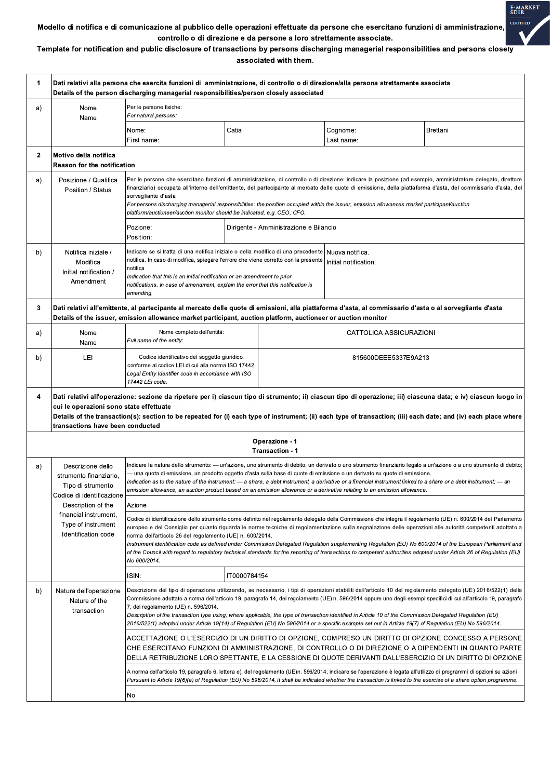

Template for notification and public disclosure of transactions by persons discharging managerial responsibilities and persons closely associated with them.

| 1            | Dati relativi alla persona che esercita funzioni di amministrazione, di controllo o di direzione/alla persona strettamente associata<br>Details of the person discharging managerial responsibilities/person closely associated                                            |                                                                                                                                                                                                                                                                                                                                                                                                                                                                                                                                                                                                                                                                                                                                           |              |                                        |                                            |                 |
|--------------|----------------------------------------------------------------------------------------------------------------------------------------------------------------------------------------------------------------------------------------------------------------------------|-------------------------------------------------------------------------------------------------------------------------------------------------------------------------------------------------------------------------------------------------------------------------------------------------------------------------------------------------------------------------------------------------------------------------------------------------------------------------------------------------------------------------------------------------------------------------------------------------------------------------------------------------------------------------------------------------------------------------------------------|--------------|----------------------------------------|--------------------------------------------|-----------------|
| a)           | Nome<br>Name                                                                                                                                                                                                                                                               | Per le persone fisiche:<br>For natural persons:                                                                                                                                                                                                                                                                                                                                                                                                                                                                                                                                                                                                                                                                                           |              |                                        |                                            |                 |
|              |                                                                                                                                                                                                                                                                            | Nome:<br>First name:                                                                                                                                                                                                                                                                                                                                                                                                                                                                                                                                                                                                                                                                                                                      | Catia        |                                        | Cognome:<br>Last name:                     | <b>Brettani</b> |
| $\mathbf{2}$ | Motivo della notifica<br><b>Reason for the notification</b>                                                                                                                                                                                                                |                                                                                                                                                                                                                                                                                                                                                                                                                                                                                                                                                                                                                                                                                                                                           |              |                                        |                                            |                 |
| a)           | Posizione / Qualifica<br>Position / Status                                                                                                                                                                                                                                 | Per le persone che esercitano funzioni di amministrazione, di controllo o di direzione: indicare la posizione (ad esempio, amministratore delegato, direttore<br>finanziario) occupata all'interno dell'emittente, del partecipante al mercato delle quote di emissione, della piattaforma d'asta, del commissario d'asta, del<br>sorvegliante d'asta<br>For persons discharging managerial responsibilities: the position occupied within the issuer, emission allowances market participant/auction<br>platform/auctioneer/auction monitor should be indicated, e.g. CEO, CFO.                                                                                                                                                          |              |                                        |                                            |                 |
|              |                                                                                                                                                                                                                                                                            | Pozione:<br>Position:                                                                                                                                                                                                                                                                                                                                                                                                                                                                                                                                                                                                                                                                                                                     |              | Dirigente - Amministrazione e Bilancio |                                            |                 |
| b)           | Notifica iniziale /<br>Modifica<br>Initial notification /<br>Amendment                                                                                                                                                                                                     | Indicare se si tratta di una notifica iniziale o della modifica di una precedente<br>notifica. In caso di modifica, spiegare l'errore che viene corretto con la presente<br>notifica<br>Indication that this is an initial notification or an amendment to prior<br>notifications. In case of amendment, explain the error that this notification is<br>amending.                                                                                                                                                                                                                                                                                                                                                                         |              |                                        | l Nuova notifica.<br>Initial notification. |                 |
| 3            | Dati relativi all'emittente, al partecipante al mercato delle quote di emissioni, alla piattaforma d'asta, al commissario d'asta o al sorvegliante d'asta<br>Details of the issuer, emission allowance market participant, auction platform, auctioneer or auction monitor |                                                                                                                                                                                                                                                                                                                                                                                                                                                                                                                                                                                                                                                                                                                                           |              |                                        |                                            |                 |
| a)           | Nome<br>Name                                                                                                                                                                                                                                                               | Nome completo dell'entità:<br>Full name of the entity:                                                                                                                                                                                                                                                                                                                                                                                                                                                                                                                                                                                                                                                                                    |              |                                        | CATTOLICA ASSICURAZIONI                    |                 |
| b)           | LEI                                                                                                                                                                                                                                                                        | Codice identificativo del soggetto giuridico,<br>conforme al codice LEI di cui alla norma ISO 17442.<br>Legal Entity Identifier code in accordance with ISO<br>17442 LEI code.                                                                                                                                                                                                                                                                                                                                                                                                                                                                                                                                                            |              |                                        | 815600DEEE5337E9A213                       |                 |
| 4            | cui le operazioni sono state effettuate<br>transactions have been conducted                                                                                                                                                                                                | Dati relativi all'operazione: sezione da ripetere per i) ciascun tipo di strumento; ii) ciascun tipo di operazione; iii) ciascuna data; e iv) ciascun luogo in<br>Details of the transaction(s): section to be repeated for (i) each type of instrument; (ii) each type of transaction; (iii) each date; and (iv) each place where                                                                                                                                                                                                                                                                                                                                                                                                        |              |                                        |                                            |                 |
|              |                                                                                                                                                                                                                                                                            |                                                                                                                                                                                                                                                                                                                                                                                                                                                                                                                                                                                                                                                                                                                                           |              | Operazione - 1<br>Transaction - 1      |                                            |                 |
| a)           | Descrizione dello<br>strumento finanziario.<br>Tipo di strumento<br>Codice di identificazione                                                                                                                                                                              | Indicare la natura dello strumento: - un'azione, uno strumento di debito, un derivato o uno strumento finanziario legato a un'azione o a uno strumento di debito;<br>- una quota di emissione, un prodotto oggetto d'asta sulla base di quote di emissione o un derivato su quote di emissione.<br>Indication as to the nature of the instrument: $-$ a share, a debt instrument, a derivative or a financial instrument linked to a share or a debt instrument; $-$ an<br>emission allowance, an auction product based on an emission allowance or a derivative relating to an emission allowance.                                                                                                                                       |              |                                        |                                            |                 |
|              | Description of the<br>financial instrument,<br>Type of instrument<br>Identification code                                                                                                                                                                                   | Azione                                                                                                                                                                                                                                                                                                                                                                                                                                                                                                                                                                                                                                                                                                                                    |              |                                        |                                            |                 |
|              |                                                                                                                                                                                                                                                                            | Codice di identificazione dello strumento come definito nel regolamento delegato della Commissione che integra il regolamento (UE) n. 600/2014 del Parlamento<br>europeo e del Consiglio per quanto riguarda le norme tecniche di regolamentazione sulla segnalazione delle operazioni alle autorità competenti adottato a<br>norma dell'articolo 26 del regolamento (UE) n. 600/2014.<br>Instrument identification code as defined under Commission Delegated Regulation supplementing Regulation (EU) No 600/2014 of the European Parliament and<br>of the Council with regard to regulatory technical standards for the reporting of transactions to competent authorities adopted under Article 26 of Regulation (EU)<br>No 600/2014. |              |                                        |                                            |                 |
|              |                                                                                                                                                                                                                                                                            | ISIN:                                                                                                                                                                                                                                                                                                                                                                                                                                                                                                                                                                                                                                                                                                                                     | IT0000784154 |                                        |                                            |                 |
| b)           | Natura dell'operazione<br>Nature of the<br>transaction                                                                                                                                                                                                                     | Descrizione del tipo di operazione utilizzando, se necessario, i tipi di operazioni stabiliti dall'articolo 10 del regolamento delegato (UE) 2016/522(1) della<br>Commissione adottato a norma dell'articolo 19, paragrafo 14, del regolamento (UE) n. 596/2014 oppure uno degli esempi specifici di cui all'articolo 19, paragrafo<br>7, del regolamento (UE) n. 596/2014.<br>Description of the transaction type using, where applicable, the type of transaction identified in Article 10 of the Commission Delegated Regulation (EU)<br>2016/522(1) adopted under Article 19(14) of Regulation (EU) No 596/2014 or a specific example set out in Article 19(7) of Regulation (EU) No 596/2014.                                        |              |                                        |                                            |                 |
|              |                                                                                                                                                                                                                                                                            | ACCETTAZIONE O L'ESERCIZIO DI UN DIRITTO DI OPZIONE, COMPRESO UN DIRITTO DI OPZIONE CONCESSO A PERSONE<br>CHE ESERCITANO FUNZIONI DI AMMINISTRAZIONE, DI CONTROLLO O DI DIREZIONE O A DIPENDENTI IN QUANTO PARTE<br>DELLA RETRIBUZIONE LORO SPETTANTE, E LA CESSIONE DI QUOTE DERIVANTI DALL'ESERCIZIO DI UN DIRITTO DI OPZIONE                                                                                                                                                                                                                                                                                                                                                                                                           |              |                                        |                                            |                 |
|              |                                                                                                                                                                                                                                                                            | A norma dell'articolo 19, paragrafo 6, lettera e), del regolamento (UE)n. 596/2014, indicare se l'operazione è legata all'utilizzo di programmi di opzioni su azioni<br>Pursuant to Article 19(6)(e) of Regulation (EU) No 596/2014, it shall be indicated whether the transaction is linked to the exercise of a share option programme.                                                                                                                                                                                                                                                                                                                                                                                                 |              |                                        |                                            |                 |
|              |                                                                                                                                                                                                                                                                            |                                                                                                                                                                                                                                                                                                                                                                                                                                                                                                                                                                                                                                                                                                                                           |              |                                        |                                            |                 |